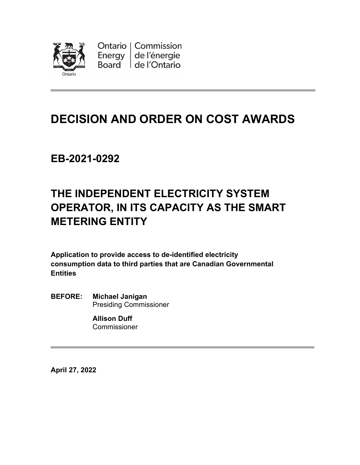

Ontario | Commission Energy de l'énergie Board de l'Ontario

# **DECISION AND ORDER ON COST AWARDS**

**EB-2021-0292**

# **THE INDEPENDENT ELECTRICITY SYSTEM OPERATOR, IN ITS CAPACITY AS THE SMART METERING ENTITY**

**Application to provide access to de-identified electricity consumption data to third parties that are Canadian Governmental Entities**

**BEFORE: Michael Janigan** Presiding Commissioner

> **Allison Duff Commissioner**

**April 27, 2022**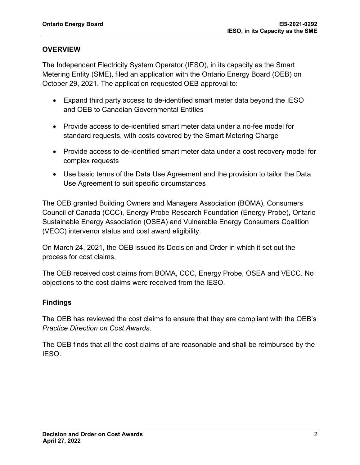# **OVERVIEW**

The Independent Electricity System Operator (IESO), in its capacity as the Smart Metering Entity (SME), filed an application with the Ontario Energy Board (OEB) on October 29, 2021. The application requested OEB approval to:

- Expand third party access to de-identified smart meter data beyond the IESO and OEB to Canadian Governmental Entities
- Provide access to de-identified smart meter data under a no-fee model for standard requests, with costs covered by the Smart Metering Charge
- Provide access to de-identified smart meter data under a cost recovery model for complex requests
- Use basic terms of the Data Use Agreement and the provision to tailor the Data Use Agreement to suit specific circumstances

The OEB granted Building Owners and Managers Association (BOMA), Consumers Council of Canada (CCC), Energy Probe Research Foundation (Energy Probe), Ontario Sustainable Energy Association (OSEA) and Vulnerable Energy Consumers Coalition (VECC) intervenor status and cost award eligibility.

On March 24, 2021, the OEB issued its Decision and Order in which it set out the process for cost claims.

The OEB received cost claims from BOMA, CCC, Energy Probe, OSEA and VECC. No objections to the cost claims were received from the IESO.

# **Findings**

The OEB has reviewed the cost claims to ensure that they are compliant with the OEB's *Practice Direction on Cost Awards*.

The OEB finds that all the cost claims of are reasonable and shall be reimbursed by the IESO.